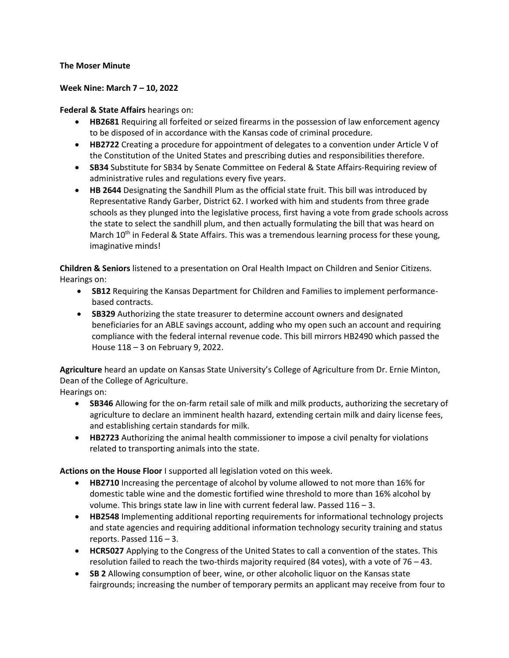## **The Moser Minute**

## **Week Nine: March 7 – 10, 2022**

## **Federal & State Affairs** hearings on:

- **HB2681** Requiring all forfeited or seized firearms in the possession of law enforcement agency to be disposed of in accordance with the Kansas code of criminal procedure.
- **HB2722** Creating a procedure for appointment of delegates to a convention under Article V of the Constitution of the United States and prescribing duties and responsibilities therefore.
- **SB34** Substitute for SB34 by Senate Committee on Federal & State Affairs-Requiring review of administrative rules and regulations every five years.
- **HB 2644** Designating the Sandhill Plum as the official state fruit. This bill was introduced by Representative Randy Garber, District 62. I worked with him and students from three grade schools as they plunged into the legislative process, first having a vote from grade schools across the state to select the sandhill plum, and then actually formulating the bill that was heard on March 10<sup>th</sup> in Federal & State Affairs. This was a tremendous learning process for these young, imaginative minds!

**Children & Seniors** listened to a presentation on Oral Health Impact on Children and Senior Citizens. Hearings on:

- **SB12** Requiring the Kansas Department for Children and Families to implement performancebased contracts.
- **SB329** Authorizing the state treasurer to determine account owners and designated beneficiaries for an ABLE savings account, adding who my open such an account and requiring compliance with the federal internal revenue code. This bill mirrors HB2490 which passed the House 118 – 3 on February 9, 2022.

**Agriculture** heard an update on Kansas State University's College of Agriculture from Dr. Ernie Minton, Dean of the College of Agriculture.

Hearings on:

- **SB346** Allowing for the on-farm retail sale of milk and milk products, authorizing the secretary of agriculture to declare an imminent health hazard, extending certain milk and dairy license fees, and establishing certain standards for milk.
- **HB2723** Authorizing the animal health commissioner to impose a civil penalty for violations related to transporting animals into the state.

**Actions on the House Floor** I supported all legislation voted on this week.

- **HB2710** Increasing the percentage of alcohol by volume allowed to not more than 16% for domestic table wine and the domestic fortified wine threshold to more than 16% alcohol by volume. This brings state law in line with current federal law. Passed 116 – 3.
- **HB2548** Implementing additional reporting requirements for informational technology projects and state agencies and requiring additional information technology security training and status reports. Passed  $116 - 3$ .
- **HCR5027** Applying to the Congress of the United States to call a convention of the states. This resolution failed to reach the two-thirds majority required (84 votes), with a vote of 76 – 43.
- **SB 2** Allowing consumption of beer, wine, or other alcoholic liquor on the Kansas state fairgrounds; increasing the number of temporary permits an applicant may receive from four to